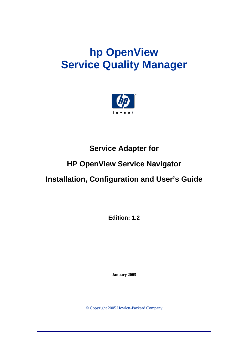# **hp OpenView Service Quality Manager**



## **Service Adapter for**

# **HP OpenView Service Navigator**

## **Installation, Configuration and User's Guide**

**Edition: 1.2** 

**January 2005** 

© Copyright 2005 Hewlett-Packard Company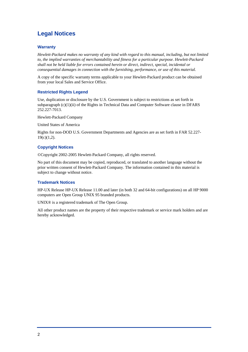## **Legal Notices**

#### **Warranty**

*Hewlett-Packard makes no warranty of any kind with regard to this manual, including, but not limited to, the implied warranties of merchantability and fitness for a particular purpose. Hewlett-Packard shall not be held liable for errors contained herein or direct, indirect, special, incidental or consequential damages in connection with the furnishing, performance, or use of this material.* 

A copy of the specific warranty terms applicable to your Hewlett-Packard product can be obtained from your local Sales and Service Office.

### **Restricted Rights Legend**

Use, duplication or disclosure by the U.S. Government is subject to restrictions as set forth in subparagraph  $(c)(1)(ii)$  of the Rights in Technical Data and Computer Software clause in DFARS 252.227-7013.

Hewlett-Packard Company

United States of America

Rights for non-DOD U.S. Government Departments and Agencies are as set forth in FAR 52.227-  $19(c)(1,2)$ .

### **Copyright Notices**

©Copyright 2002-2005 Hewlett-Packard Company, all rights reserved.

No part of this document may be copied, reproduced, or translated to another language without the prior written consent of Hewlett-Packard Company. The information contained in this material is subject to change without notice.

#### **Trademark Notices**

HP-UX Release HP-UX Release 11.00 and later (in both 32 and 64-bit configurations) on all HP 9000 computers are Open Group UNIX 95 branded products.

UNIX® is a registered trademark of The Open Group.

All other product names are the property of their respective trademark or service mark holders and are hereby acknowledged.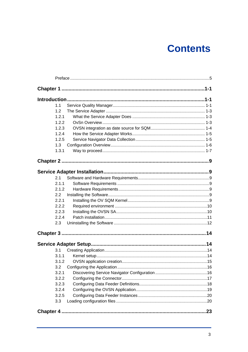# **Contents**

| 1.1   |    |
|-------|----|
| 1.2   |    |
| 1.2.1 |    |
| 1.2.2 |    |
| 1.2.3 |    |
| 1.2.4 |    |
| 1.2.5 |    |
| 1.3   |    |
| 1.3.1 |    |
|       |    |
|       |    |
| 2.1   |    |
| 2.1.1 |    |
| 2.1.2 |    |
| 2.2   |    |
| 2.2.1 |    |
| 2.2.2 |    |
| 2.2.3 |    |
| 2.2.4 |    |
| 2.3   |    |
|       |    |
|       |    |
| 3.1   |    |
| 3.1.1 |    |
| 3.1.2 |    |
| 3.2   |    |
| 3.2.1 |    |
| 3.2.2 |    |
| 3.2.3 |    |
| 3.2.4 |    |
| 3.2.5 |    |
| 3.3   |    |
|       | 23 |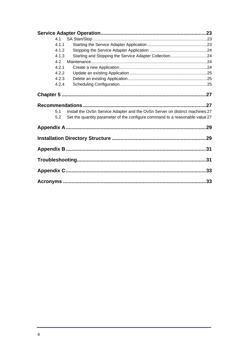| 4.1   |                                                                              |    |
|-------|------------------------------------------------------------------------------|----|
| 4.1.1 |                                                                              |    |
| 4.1.2 |                                                                              |    |
| 4.1.3 | Starting and Stopping the Service Adapter Collection24                       |    |
| 4.2   |                                                                              |    |
| 4.2.1 |                                                                              |    |
| 4.2.2 |                                                                              |    |
| 4.2.3 |                                                                              |    |
| 4.2.4 |                                                                              |    |
|       |                                                                              |    |
|       |                                                                              |    |
| 5.1   | Install the OvSn Service Adapter and the OvSn Server on distinct machines 27 |    |
| 5.2   | Set the quantity parameter of the configure command to a reasonable value 27 |    |
|       |                                                                              |    |
|       |                                                                              |    |
|       |                                                                              |    |
|       |                                                                              | 31 |
|       |                                                                              |    |
|       |                                                                              |    |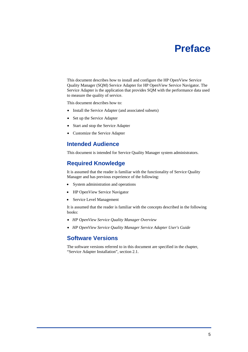# **Preface**

<span id="page-4-0"></span>This document describes how to install and configure the HP OpenView Service Quality Manager (SQM) Service Adapter for HP OpenView Service Navigator. The Service Adapter is the application that provides SQM with the performance data used to measure the quality of service.

This document describes how to:

- Install the Service Adapter (and associated subsets)
- Set up the Service Adapter
- Start and stop the Service Adapter
- Customize the Service Adapter

## **Intended Audience**

This document is intended for Service Quality Manager system administrators.

## **Required Knowledge**

It is assumed that the reader is familiar with the functionality of Service Quality Manager and has previous experience of the following:

- System administration and operations
- HP OpenView Service Navigator
- Service Level Management

It is assumed that the reader is familiar with the concepts described in the following books:

- *HP OpenView Service Quality Manager Overview*
- *HP OpenView Service Quality Manager Service Adapter User's Guide*

## **Software Versions**

The software versions referred to in this document are specified in the chapter, "Service Adapter Installation", section [2.1.](#page-14-1)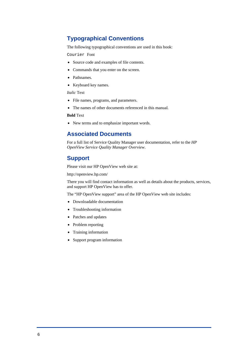## **Typographical Conventions**

The following typographical conventions are used in this book:

Courier Font

- Source code and examples of file contents.
- Commands that you enter on the screen.
- Pathnames.
- Keyboard key names.

#### *Italic* Text

- File names, programs, and parameters.
- The names of other documents referenced in this manual.

#### **Bold** Text

• New terms and to emphasize important words.

## **Associated Documents**

For a full list of Service Quality Manager user documentation, refer to the *HP OpenView Service Quality Manager Overview*.

## **Support**

Please visit our HP OpenView web site at:

<http://openview.hp.com/>

There you will find contact information as well as details about the products, services, and support HP OpenView has to offer.

The "HP OpenView support" area of the HP OpenView web site includes:

- Downloadable documentation
- Troubleshooting information
- Patches and updates
- Problem reporting
- Training information
- Support program information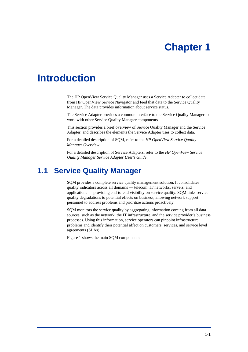# **Chapter 1**

# <span id="page-6-0"></span>**Introduction**

The HP OpenView Service Quality Manager uses a Service Adapter to collect data from HP OpenView Service Navigator and feed that data to the Service Quality Manager. The data provides information about service status.

The Service Adapter provides a common interface to the Service Quality Manager to work with other Service Quality Manager components.

This section provides a brief overview of Service Quality Manager and the Service Adapter, and describes the elements the Service Adapter uses to collect data.

For a detailed description of SQM, refer to the *HP OpenView Service Quality Manager Overview*.

For a detailed description of Service Adapters, refer to the *HP OpenView Service Quality Manager Service Adapter User's Guide*.

## **1.1 Service Quality Manager**

SQM provides a complete service quality management solution. It consolidates quality indicators across all domains — telecom, IT networks, servers, and applications — providing end-to-end visibility on service quality. SQM links service quality degradations to potential effects on business, allowing network support personnel to address problems and prioritize actions proactively.

SQM monitors the service quality by aggregating information coming from all data sources, such as the network, the IT infrastructure, and the service provider's business processes. Using this information, service operators can pinpoint infrastructure problems and identify their potential affect on customers, services, and service level agreements (SLAs).

[Figure 1](#page-7-0) shows the main SQM components: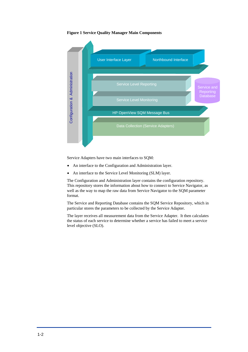#### <span id="page-7-0"></span>**Figure 1 Service Quality Manager Main Components**



Service Adapters have two main interfaces to SQM:

- An interface to the Configuration and Administration layer.
- An interface to the Service Level Monitoring (SLM) layer.

The Configuration and Administration layer contains the configuration repository. This repository stores the information about how to connect to Service Navigator, as well as the way to map the raw data from Service Navigator to the SQM parameter format.

The Service and Reporting Database contains the SQM Service Repository, which in particular stores the parameters to be collected by the Service Adapter.

The layer receives all measurement data from the Service Adapter. It then calculates the status of each service to determine whether a service has failed to meet a service level objective (SLO).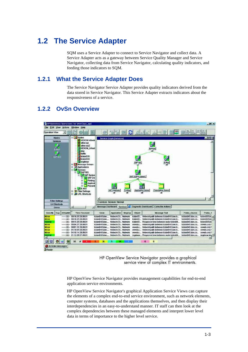## <span id="page-8-0"></span>**1.2 The Service Adapter**

SQM uses a Service Adapter to connect to Service Navigator and collect data. A Service Adapter acts as a gateway between Service Quality Manager and Service Navigator, collecting data from Service Navigator, calculating quality indicators, and feeding those indicators to SQM.

## **1.2.1 What the Service Adapter Does**

The Service Navigator Service Adapter provides quality indicators derived from the data stored in Service Navigator. This Service Adapter extracts indicators about the responsiveness of a service.

## **1.2.2 OvSn Overview**



HP OpenView Service Navigator provides a graphical service view of complex IT environments.

HP OpenView Service Navigator provides management capabilities for end-to-end application service environments.

HP OpenView Service Navigator's graphical Application Service Views can capture the elements of a complex end-to-end service environment, such as network elements, computer systems, databases and the applications themselves, and then display their interdependencies in an easy-to-understand manner. IT staff can then look at the complex dependencies between these managed elements and interpret lower level data in terms of importance to the higher level service.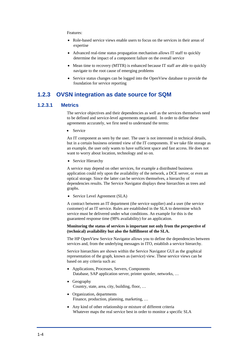#### <span id="page-9-0"></span>Features:

- Role-based service views enable users to focus on the services in their areas of expertise
- Advanced real-time status propagation mechanism allows IT staff to quickly determine the impact of a component failure on the overall service
- Mean time to recovery (MTTR) is enhanced because IT staff are able to quickly navigate to the root cause of emerging problems
- Service status changes can be logged into the OpenView database to provide the foundation for service reporting

## **1.2.3 OVSN integration as date source for SQM**

### **1.2.3.1 Metrics**

The service objectives and their dependencies as well as the services themselves need to be defined and service-level agreements negotiated. In order to define these agreements accurately, we first need to understand the terms:

• Service

An IT component as seen by the user. The user is not interested in technical details, but in a certain business oriented view of the IT components. If we take file storage as an example, the user only wants to have sufficient space and fast access. He does not want to worry about location, technology and so on.

• Service Hierarchy

A service may depend on other services, for example a distributed business application could rely upon the availability of the network, a DCE server, or even an optical storage. Since the latter can be services themselves, a hierarchy of dependencies results. The Service Navigator displays these hierarchies as trees and graphs.

• Service Level Agreement (SLA)

A contract between an IT department (the service supplier) and a user (the service customer) of an IT service. Rules are established in the SLA to determine which service must be delivered under what conditions. An example for this is the guaranteed response time (98% availability) for an application.

#### **Monitoring the status of services is important not only from the perspective of (technical) availability but also the fulfillment of the SLA.**

The HP OpenView Service Navigator allows you to define the dependencies between services and, from the underlying messages in ITO, establish a service hierarchy.

Service hierarchies are shown within the Service Navigator GUI as the graphical representation of the graph, known as (service) view. These service views can be based on any criteria such as:

- Applications, Processes, Servers, Components Database, SAP application server, printer spooler, networks, …
- Geography Country, state, area, city, building, floor, …
- Organization, departments Finance, production, planning, marketing, …
- Any kind of other relationship or mixture of different criteria Whatever maps the real service best in order to monitor a specific SLA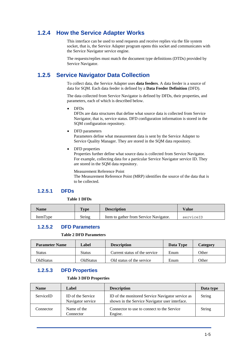## <span id="page-10-0"></span>**1.2.4 How the Service Adapter Works**

This interface can be used to send requests and receive replies via the file system socket, that is, the Service Adapter program opens this socket and communicates with the Service Navigator service engine.

The requests/replies must match the document type definitions (DTDs) provided by Service Navigator.

## **1.2.5 Service Navigator Data Collection**

To collect data, the Service Adapter uses **data feeders**. A data feeder is a source of data for SQM. Each data feeder is defined by a **Data Feeder Definition** (DFD).

The data collected from Service Navigator is defined by DFDs, their properties, and parameters, each of which is described below.

• DFDs

DFDs are data structures that define what source data is collected from Service Navigator, that is, service status. DFD configuration information is stored in the SQM configuration repository.

• DFD parameters

Parameters define what measurement data is sent by the Service Adapter to Service Quality Manager. They are stored in the SQM data repository.

• DFD properties

Properties further define what source data is collected from Service Navigator. For example, collecting data for a particular Service Navigator service ID. They are stored in the SQM data repository.

Measurement Reference Point

The Measurement Reference Point (MRP) identifies the source of the data that is to be collected.

## **1.2.5.1 DFDs**

#### **Table 1 DFDs**

| Name     | T <sub>VDE</sub> | <b>Description</b>                     | Value     |
|----------|------------------|----------------------------------------|-----------|
| ItemType | String           | Item to gather from Service Navigator. | serviceID |

## **1.2.5.2 DFD Parameters**

#### **Table 2 DFD Parameters**

| <b>Parameter Name</b> | Label     | <b>Description</b>            | Data Type | Category |
|-----------------------|-----------|-------------------------------|-----------|----------|
| Status                | Status    | Current status of the service | Enum      | Other    |
| <b>OldStatus</b>      | OldStatus | Old status of the service     | Enum      | Other    |

## **1.2.5.3 DFD Properties**

#### **Table 3 DFD Properties**

| <b>Name</b> | Label                                         | <b>Description</b>                                                                                 | Data type     |
|-------------|-----------------------------------------------|----------------------------------------------------------------------------------------------------|---------------|
| ServiceID   | <b>ID</b> of the Service<br>Navigator service | ID of the monitored Service Navigator service as<br>shown in the Service Navigator user interface. | <b>String</b> |
| Connector   | Name of the<br>Connector                      | Connector to use to connect to the Service<br>Engine.                                              | <b>String</b> |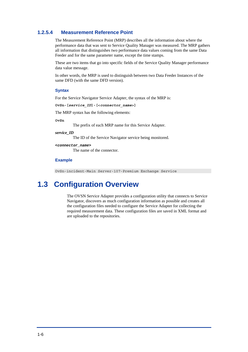### <span id="page-11-0"></span>**1.2.5.4 Measurement Reference Point**

The Measurement Reference Point (MRP) describes all the information about where the performance data that was sent to Service Quality Manager was measured. The MRP gathers all information that distinguishes two performance data values coming from the same Data Feeder and for the same parameter name, except the time stamps.

These are two items that go into specific fields of the Service Quality Manager performance data value message.

In other words, the MRP is used to distinguish between two Data Feeder Instances of the same DFD (with the same DFD version).

#### **Syntax**

For the Service Navigator Service Adapter, the syntax of the MRP is:

**OvSn-[***service\_ID***]-[<***connector\_name***>]** 

The MRP syntax has the following elements:

**OvSn** 

The prefix of each MRP name for this Service Adapter.

*service\_ID*

The ID of the Service Navigator service being monitored.

**<***connector\_name***>** 

The name of the connector.

#### **Example**

OvSn-incident-Main Server-107-Premium Exchange Service

## **1.3 Configuration Overview**

The OVSN Service Adapter provides a configuration utility that connects to Service Navigator, discovers as much configuration information as possible and creates all the configuration files needed to configure the Service Adapter for collecting the required measurement data. These configuration files are saved in XML format and are uploaded to the repositories.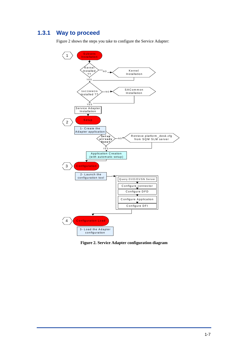## <span id="page-12-0"></span>**1.3.1 Way to proceed**

[Figure 2](#page-12-1) shows the steps you take to configure the Service Adapter:

<span id="page-12-1"></span>

**Figure 2. Service Adapter configuration diagram**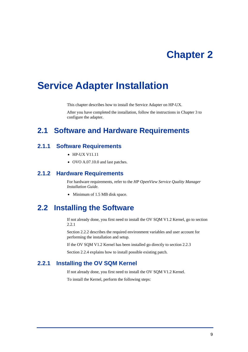# **Chapter 2**

# <span id="page-14-0"></span>**Service Adapter Installation**

This chapter describes how to install the Service Adapter on HP-UX.

After you have completed the installation, follow the instructions in Chapter [3 t](#page-19-1)o configure the adapter.

## <span id="page-14-1"></span>**2.1 Software and Hardware Requirements**

## **2.1.1 Software Requirements**

- HP-UX V11.11
- OVO A.07.10.0 and last patches.

## **2.1.2 Hardware Requirements**

For hardware requirements, refer to the *HP OpenView Service Quality Manager Installation Guide.*

• Minimum of 1.5 MB disk space.

## **2.2 Installing the Software**

If not already done, you first need to install the OV SQM V1.2 Kernel, go to section [2.2.1](#page-14-2) 

Section [2.2.2 d](#page-15-1)escribes the required environment variables and user account for performing the installation and setup.

If the OV SQM V1.2 Kernel has been installed go directly to section [2.2.3](#page-15-2)

Section [2.2.4 e](#page-16-1)xplains how to install possible existing patch.

## **2.2.1 Installing the OV SQM Kernel**

<span id="page-14-2"></span>If not already done, you first need to install the OV SQM V1.2 Kernel.

To install the Kernel, perform the following steps: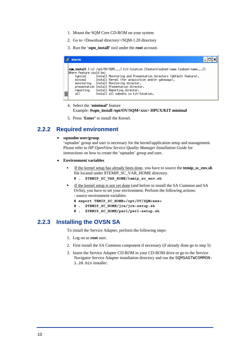- <span id="page-15-0"></span>1. Mount the SQM Core CD-ROM on your system
- 2. Go to <Download directory>/SQM-1.20 directory
- 3. Run the '**sqm\_install'** tool under the **root** account.

|   | $\frac{1}{2}$ xterm                                                                                                                                                                                                                                                                                                                                                                                                                            |
|---|------------------------------------------------------------------------------------------------------------------------------------------------------------------------------------------------------------------------------------------------------------------------------------------------------------------------------------------------------------------------------------------------------------------------------------------------|
| I | sqm_install [-o] /opt/OV/SQM[] kit-location [feature subset-name [subset-name]]<br>Where feature could be:<br>Install Monitoring and Presentation directors (default feature).<br>typical<br>Install Kernel (for acquisition and/or gateways).<br>minimal<br>monitoring Install Monitoring director.<br>presentation Install Presentation director.<br>Install Reporting director.<br>reporting<br>Install all subsets in kit-location.<br>all |

- 4. Select the '**minimal'** feature Example: **#sqm\_install /opt/OV/SQM<xxx> HPUX/KIT minimal**
- 5. Press '**Enter'** to install the Kernel.

## **2.2.2 Required environment**

#### <span id="page-15-1"></span>• **sqmadm user/group**

'sqmadm' group and user is necessary for the kernel/application setup and management. Please refer to *HP OpenView Service Quality Manager Installation Guide* for instructions on how to create the 'sqmadm' group and user.

#### • **Environment variables**

- If the kernel setup has already been done, you have to source the **temip** sc env.sh file located under \$TEMIP\_SC\_VAR\_HOME directory.
	- **# . \$TEMIP\_SC\_VAR\_HOME/temip\_sc\_env.sh**
- If the kernel setup is not yet done (and before to install the SA Common and SA OvSn), you have to set your environment. Perform the following actions: - source environment variables:
	- **# export TEMIP\_SC\_HOME=/opt/OV/SQM<xxx>**
	- **# . \$TEMIP\_SC\_HOME/jre/jre-setup.sh**
	- **# . \$TEMIP\_SC\_HOME/perl/perl-setup.sh**

## **2.2.3 Installing the OVSN SA**

<span id="page-15-2"></span>To install the Service Adapter, perform the following steps:

- 1. Log on as **root** user.
- 2. First install the SA Common component if necessary (if already done go to step 5)
- 3. Insert the Service Adapter CD-ROM in your CD-ROM drive or go to the Service Navigator Service Adapter installation directory and run the SQMSAGTWCOMMON-1.20.bin installer.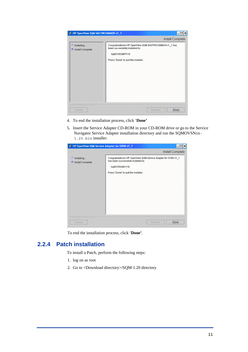<span id="page-16-0"></span>

| & HP OpenView SQM SAGTWCOMMON v1_1               |                                                                                                                                                    | $ \Box$ $\times$ |
|--------------------------------------------------|----------------------------------------------------------------------------------------------------------------------------------------------------|------------------|
|                                                  |                                                                                                                                                    | Install Complete |
| <sup>3</sup> Installing<br>Install Complete<br>a | Congratulations! HP OpenView SQM SAGTWCOMMON v1_1 has<br>been successfully installed to:<br>/opt/OV/SQMV110<br>Press "Done" to quit the installer. |                  |
| InstallAnywhere by Zero G -                      |                                                                                                                                                    |                  |
| Cancel                                           | Previous                                                                                                                                           | Done             |

- 4. To end the installation process, click '**Done'**
- 5. Insert the Service Adapter CD-ROM in your CD-ROM drive or go to the Service Navigator Service Adapter installation directory and run the SQMOVSNSA-1.20.bin installer.

| & HP OpenView SQM Service Adapter for OVSN v1_1 |                                                                                                                                                                 |                  |
|-------------------------------------------------|-----------------------------------------------------------------------------------------------------------------------------------------------------------------|------------------|
|                                                 |                                                                                                                                                                 | Install Complete |
| installing<br>Install Complete                  | Congratulations! HP OpenView SQM Service Adapter for OVSN v1_1<br>has been successfully installed to:<br>/opt/OV/SQMV110<br>Press "Done" to quit the installer. |                  |
| InstallAnywhere by Zero G                       |                                                                                                                                                                 |                  |
| Cancel                                          | Previous                                                                                                                                                        | Done             |

To end the installation process, click '**Done'**.

## **2.2.4 Patch installation**

<span id="page-16-1"></span>To install a Patch, perform the following steps:

- 1. log on as root
- 2. Go to <Download directory>/SQM-1.20 directory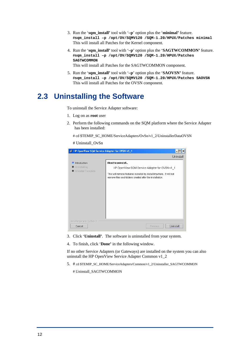- <span id="page-17-0"></span>3. Run the '**sqm\_install'** tool with '**–p**' option plus the '**minimal'** feature. **#sqm\_install –p /opt/OV/SQMV120 /SQM-1.20/HPUX/Patches minimal**  This will install all Patches for the Kernel component.
- 4. Run the '**sqm\_install'** tool with '**–p**' option plus the '**SAGTWCOMMON'** feature. **#sqm\_install –p /opt/OV/SQMV120 /SQM-1.20/HPUX/Patches SAGTWCOMMON**

This will install all Patches for the SAGTWCOMMON component.

5. Run the '**sqm\_install'** tool with '**–p**' option plus the '**SAOVSN'** feature. **#sqm\_install –p /opt/OV/SQMV120 /SQM-1.20/HPUX/Patches SAOVSN** This will install all Patches for the OVSN component.

## **2.3 Uninstalling the Software**

To uninstall the Service Adapter software:

- 1. Log on as **root** user
- 2. Perform the following commands on the SQM platform where the Service Adapter has been installed:

# cd \$TEMIP\_SC\_HOME/ServiceAdapters/OvSn/v1\_2/UninstallerDataOVSN

# Uninstall\_OvSn

| & HP OpenView SQM Service Adapter for OVSN v1_1 | ×                                                                   |
|-------------------------------------------------|---------------------------------------------------------------------|
|                                                 | Uninstall                                                           |
| Introduction                                    | About to uninstall                                                  |
| n                                               | HP OpenView SQM Service Adapter for OVSN v1 1                       |
| Uninstalling                                    | This will remove features installed by InstallAnywhere. It will not |
| Uninstall Complete                              | remove files and folders created after the installation.            |
| InstallAnywhere by Zero G                       | Uninstall                                                           |
| Cancel                                          | Previous                                                            |

- 3. Click '**Uninstall'**. The software is uninstalled from your system.
- 4. To finish, click '**Done'** in the following window.

If no other Service Adapters (or Gateways) are installed on the system you can also uninstall the HP OpenView Service Adapter Common v1\_2

5. # cd \$TEMIP\_SC\_HOME/ServiceAdapters/Common/v1\_2/Uninstaller\_SAGTWCOMMON

# Uninstall\_SAGTWCOMMON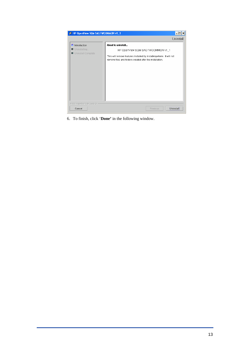

6. To finish, click '**Done'** in the following window.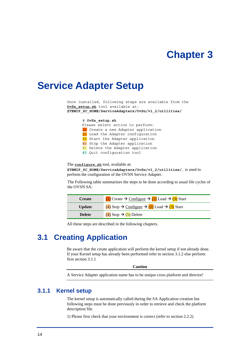# **Chapter 3**

## <span id="page-19-0"></span>**Service Adapter Setup**

Once installed, following steps are available from the **OvSn\_setup.sh** tool available at: **\$TEMIP\_SC\_HOME/ServiceAdapters/OvSn/v1\_2/utilities/**

#### # **OvSn\_setup.sh**

Please select action to perform: 1) Create a new Adapter application 2) Load the Adapter configuration 3) Start the Adapter application 4) Stop the Adapter application 5) Delete the Adapter application

6) Quit configuration tool

The **configure.sh** tool, available at: **\$TEMIP\_SC\_HOME/ServiceAdapters/OvSn/v1\_2/utilities/**, is used to perform the configuration of the OVSN Service Adapter.

The Following table summarizes the steps to be done according to usual life cycles of the OVSN SA:

| <b>Create</b> | (1) Create → Configure → (2) Load → (3) Start |
|---------------|-----------------------------------------------|
| <b>Update</b> | (4) Stop → Configure → (2) Load → (3) Start   |
| <b>Delete</b> | $(4)$ Stop $\rightarrow$ (5) Delete           |

All these steps are described in the following chapters.

## <span id="page-19-3"></span>**3.1 Creating Application**

Be aware that the create application will perform the kernel setup if not already done. If your Kernel setup has already been performed refer to section [3.1.2 e](#page-20-1)lse perform first section [3.1.1](#page-19-2) 

<span id="page-19-1"></span>**Caution** 

A Service Adapter application name has to be unique cross platform and director!

## **3.1.1 Kernel setup**

<span id="page-19-2"></span>The kernel setup is automatically called during the SA Application creation but following steps must be done previously in order to retrieve and check the platform description file.

1) Please first check that your environment is correct (refer to section [2.2.2\)](#page-15-1)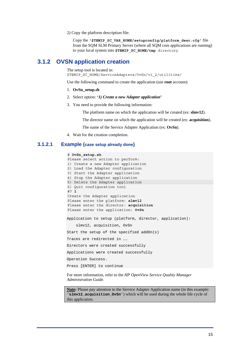2) Copy the platform description file:

Copy the **'\$TEMIP\_SC\_VAR\_HOME/setupconfig/platform\_desc.cfg'** file from the SQM SLM Primary Server (where all SQM core applications are running) to your local system into **\$TEMIP\_SC\_HOME/tmp** directory

## <span id="page-20-0"></span>**3.1.2 OVSN application creation**

<span id="page-20-1"></span>The setup tool is located in: \$TEMIP\_SC\_HOME/ServiceAdapters/OvSn/v1\_2/utilities/

Use the following command to create the application (use **root** account):

- 1. **OvSn\_setup.sh**
- 2. Select option: **'***1) Create a new Adapter application***'**
- 3. You need to provide the following information:

The platform name on which the application will be created (ex: **slmv12**).

The director name on which the application will be created (ex: **acquisition**).

The name of the Service Adapter Application (ex: **OvSn**).

4. Wait for the creation completion.

### **3.1.2.1 Example (case setup already done)**

### # **OvSn\_setup.sh** Please select action to perform: 1) Create a new Adapter application 2) Load the Adapter configuration 3) Start the Adapter application 4) Stop the Adapter application 5) Delete the Adapter application 6) Quit configuration tool #? **1** Create the Adapter application Please enter the platform: **slmv12** Please enter the director: **acquisition** Please enter the application: **OvSn** Application to setup (platform, director, application): slmv12, acquisition, OvSn Start the setup of the specified addOn(s) Traces are redirected in …… Directors were created successfully Applications were created successfully Operation Success. Press [ENTER] to continue

For more information, refer to the *HP OpenView Service Quality Manager Administration Guide*.

**Note:** Please pay attention to the Service Adapter Application name (in this example: '**slmv12\_acquisition\_OvSn**') which will be used during the whole life cycle of this application.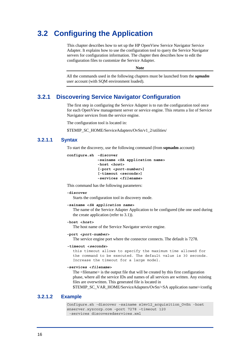## <span id="page-21-1"></span><span id="page-21-0"></span>**3.2 Configuring the Application**

This chapter describes how to set up the HP OpenView Service Navigator Service Adapter. It explains how to use the configuration tool to query the Service Navigator servers for configuration information. The chapter then describes how to edit the configuration files to customize the Service Adapter.

**Note** 

All the commands used in the following chapters must be launched from the *sqmadm* user account (with SQM environment loaded).

## **3.2.1 Discovering Service Navigator Configuration**

The first step in configuring the Service Adapter is to run the configuration tool once for each OpenView management server or service engine. This returns a list of Service Navigator services from the service engine.

The configuration tool is located in:

\$TEMIP\_SC\_HOME/ServiceAdapters/OvSn/v1\_2/utilities/

### **3.2.1.1 Syntax**

To start the discovery, use the following command (from **sqmadm** account):

```
configure.sh -discover 
              –sainame <SA application name> 
              -host <host> 
              [-port <port-number>] 
              [-timeout <seconds>] 
              -services <filename>
```
This command has the following parameters:

#### **-discover**

Starts the configuration tool in discovery mode.

#### **-sainame <***SA application name***>**

The name of the Service Adapter Application to be configured (the one used during the create application (refer to [3.1\)](#page-19-3)).

#### **-host <***host***>**

The host name of the Service Navigator service engine.

#### **-port <***port-number***>**

The service engine port where the connector connects. The default is 7278.

#### **-timeout <***seconds***>**

this timeout allows to specify the maximum time allowed for the command to be executed. The default value is 30 seconds. Increase the timeout for a large model.

#### **-services <***filename***>**

The <filename> is the output file that will be created by this first configuration phase, where all the service IDs and names of all services are written. Any existing files are overwritten. This generated file is located in

\$TEMIP\_SC\_VAR\_HOME/ServiceAdapters/OvSn/<SA application name>/config

#### **3.2.1.2 Example**

```
Configure.sh -discover –sainame slmv12_acquisition_OvSn -host 
snserver.xyzcorp.com –port 7278 –timeout 120 
 -services discoveredservices.xml
```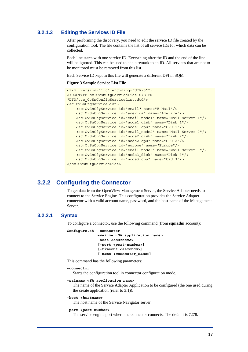### <span id="page-22-0"></span>**3.2.1.3 Editing the Services ID File**

After performing the discovery, you need to edit the service ID file created by the configuration tool. The file contains the list of all service IDs for which data can be collected.

Each line starts with one service ID. Everything after the ID and the end of the line will be ignored. This can be used to add a remark to an ID. All services that are not to be monitored must be removed from this list.

Each Service ID kept in this file will generate a different DFI in SQM.

#### **Figure 3 Sample Service List File**

```
<?xml version="1.0" encoding="UTF-8"?> 
<!DOCTYPE sc:OvSnCfgServiceList SYSTEM 
"DTD/tsc_OvSnConfigServiceList.dtd"> 
<sc:OvSnCfgServiceList> 
     <sc:OvSnCfgService id="email" name="E-Mail"/> 
     <sc:OvSnCfgService id="america" name="America"/> 
     <sc:OvSnCfgService id="email_node1" name="Mail Server 1"/> 
     <sc:OvSnCfgService id="node1_disk" name="Disk 1"/> 
     <sc:OvSnCfgService id="node1_cpu" name="CPU 1"/> 
     <sc:OvSnCfgService id="email_node2" name="Mail Server 2"/> 
     <sc:OvSnCfgService id="node2_disk" name="Disk 2"/> 
     <sc:OvSnCfgService id="node2_cpu" name="CPU 2"/> 
     <sc:OvSnCfgService id="europe" name="Europe"/> 
     <sc:OvSnCfgService id="email_node3" name="Mail Server 3"/> 
     <sc:OvSnCfgService id="node3_disk" name="Disk 3"/> 
     <sc:OvSnCfgService id="node3_cpu" name="CPU 3"/> 
</sc:OvSnCfgServiceList>
```
## **3.2.2 Configuring the Connector**

To get data from the OpenView Management Server, the Service Adapter needs to connect to the Service Engine. This configuration provides the Service Adapter connector with a valid account name, password, and the host name of the Management Server.

### **3.2.2.1 Syntax**

To configure a connector, use the following command (from **sqmadm** account):

```
Configure.sh -connector 
              –sainme <SA application name> 
              -host <hostname> 
              [-port <port-number>] 
              [-timeout <seconds>] 
              [-name <connector_name>]
```
This command has the following parameters:

#### **-connector**

Starts the configuration tool in connector configuration mode.

```
-sainame <SA application name>
```
The name of the Service Adapter Application to be configured (the one used during the create application (refer to [3.1\)](#page-19-3)).

#### **-host <***hostname***>**

The host name of the Service Navigator server.

#### **-port <***port-number***>**

The service engine port where the connector connects. The default is 7278.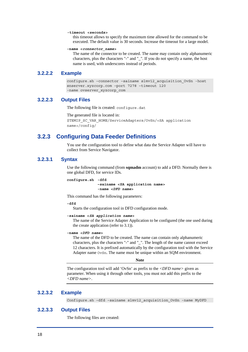#### <span id="page-23-0"></span>**-timeout <seconds>**

this timeout allows to specify the maximum time allowed for the command to be executed. The default value is 30 seconds. Increase the timeout for a large model.

#### **-name <***connector\_name***>**

The name of the connector to be created. The name may contain only alphanumeric characters, plus the characters "-" and "\_". If you do not specify a name, the host name is used, with underscores instead of periods.

### **3.2.2.2 Example**

```
configure.sh –connector –sainame slmv12_acquisition_OvSn -host 
snserver.xyzcorp.com –port 7278 –timeout 120 
-name ovserver xyzcorp com
```
#### **3.2.2.3 Output Files**

The following file is created: configure.dat

```
The generated file is located in: 
$TEMIP_SC_VAR_HOME/ServiceAdapters/OvSn/<SA application 
name>/config/
```
## **3.2.3 Configuring Data Feeder Definitions**

You use the configuration tool to define what data the Service Adapter will have to collect from Service Navigator.

### **3.2.3.1 Syntax**

Use the following command (from **sqmadm** account) to add a DFD. Normally there is one global DFD, for service IDs.

**configure.sh -dfd –sainame <SA application name> -name <***DFD name***>** 

This command has the following parameters:

**-dfd** 

Starts the configuration tool in DFD configuration mode.

```
-sainame <SA application name>
```
The name of the Service Adapter Application to be configured (the one used during the create application (refer to [3.1\)](#page-19-3)).

#### **-name <***DFD name***>**

The name of the DFD to be created. The name can contain only alphanumeric characters, plus the characters "-" and "\_". The length of the name cannot exceed 12 characters. It is prefixed automatically by the configuration tool with the Service Adapter name OvSn. The name must be unique within an SQM environment.

#### **Note**

The configuration tool will add 'OvSn' as prefix to the *<DFD name>* given as parameter. When using it through other tools, you must not add this prefix to the *<DFD name>*.

### **3.2.3.2 Example**

Configure.sh –dfd –sainame slmv12\_acquisition\_OvSn -name MyDFD

### **3.2.3.3 Output Files**

The following files are created: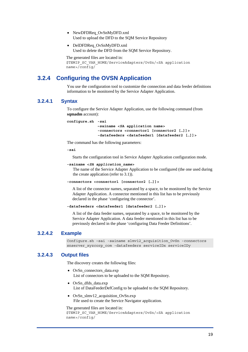- <span id="page-24-0"></span>• NewDFDReq OvSnMyDFD.xml Used to upload the DFD to the SQM Service Repository
- DelDFDReq OvSnMyDFD.xml Used to delete the DFD from the SQM Service Repository.

```
The generated files are located in: 
$TEMIP_SC_VAR_HOME/ServiceAdapters/OvSn/<SA application 
name>/config/
```
## **3.2.4 Configuring the OVSN Application**

You use the configuration tool to customize the connection and data feeder definitions information to be monitored by the Service Adapter Application.

### **3.2.4.1 Syntax**

To configure the Service Adapter Application, use the following command (from **sqmadm** account):

```
configure.sh -sai 
              –sainame <SA application name> 
              -connectors <connector1 [connector2 […]]> 
              -datafeeders <datafeeder1 [datafeeder2 […]]>
```
The command has the following parameters:

**-sai** 

Starts the configuration tool in Service Adapter Application configuration mode.

```
-sainame <SA application_name>
```
The name of the Service Adapter Application to be configured (the one used during the create application (refer to [3.1\)](#page-19-3)).

```
-connectors <connector1 [connector2 […]]>
```
A list of the connector names, separated by a space, to be monitored by the Service Adapter Application. A connector mentioned in this list has to be previously declared in the phase 'configuring the connector'.

```
-datafeeders <datafeeder1 [datafeeder2 […]]>
```
A list of the data feeder names, separated by a space, to be monitored by the Service Adapter Application. A data feeder mentioned in this list has to be previously declared in the phase 'configuring Data Feeder Definitions'.

### **3.2.4.2 Example**

```
Configure.sh –sai -sainame slmv12_acquisition_OvSn -connectors 
snserver xyzcorp com -datafeeders serviceIDx serviceIDy
```
### **3.2.4.3 Output files**

The discovery creates the following files:

- OvSn\_connectors\_data.exp List of connectors to be uploaded to the SQM Repository.
- OvSn\_dfds\_data.exp List of DataFeederDefConfig to be uploaded to the SQM Repository.
- OvSn\_slmv12\_acquisition\_OvSn.exp File used to create the Service Navigator application.

#### The generated files are located in:

```
$TEMIP SC VAR HOME/ServiceAdapters/OvSn/<SA application
name>/config/
```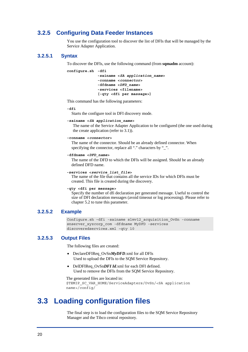## <span id="page-25-0"></span>**3.2.5 Configuring Data Feeder Instances**

You use the configuration tool to discover the list of DFIs that will be managed by the Service Adapter Application.

#### **3.2.5.1 Syntax**

To discover the DFIs, use the following command (from **sqmadm** account):

```
configure.sh -dfi 
              -sainame <SA application_name> 
              -conname <connector> 
              -dfdname <DFD_name> 
              -services <filename> 
              [-qty <dfi per massage>]
```
This command has the following parameters:

#### **-dfi**

Starts the configure tool in DFI discovery mode.

```
-sainame <SA application_name>
```
The name of the Service Adapter Application to be configured (the one used during the create application (refer to [3.1\)](#page-19-3)).

#### **-conname <***connector***>**

The name of the connector. Should be an already defined connector. When specifying the connector, replace all "." characters by "\_".

#### **-dfdname <***DFD\_name***>**

The name of the DFD to which the DFIs will be assigned. Should be an already defined DFD name.

```
-services <service_list_file>
```
The name of the file that contains all the service IDs for which DFIs must be created. This file is created during the discovery.

#### **-qty <dfi per message>**

Specify the number of dfi declaration per generated message. Useful to control the size of DFI declaration messages (avoid timeout or log processing). Please refer to chapter [5.2 t](#page-32-1)o tune this parameter.

#### **3.2.5.2 Example**

Configure.sh –dfi -sainame slmv12\_acquisition\_OvSn -conname snserver xyzcorp com -dfdname MyDFD -services discoveredservices.xml –qty 10

#### **3.2.5.3 Output Files**

The following files are created:

- DeclareDFIReq OvSn*MyDFD*.xml for all DFIs Used to upload the DFIs to the SQM Service Repository.
- DelDFIReq\_OvSn*DFI Id*.xml for each DFI defined. Used to remove the DFIs from the SQM Service Repository.

```
The generated files are located in: 
$TEMIP_SC_VAR_HOME/ServiceAdapters/OvSn/<SA application 
name>/config/
```
## <span id="page-25-1"></span>**3.3 Loading configuration files**

The final step is to load the configuration files to the SQM Service Repository Manager and the Tibco central repository.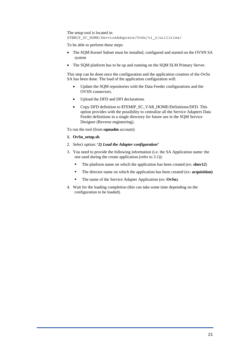```
The setup tool is located in: 
$TEMIP_SC_HOME/ServiceAdapters/OvSn/v1_2/utilities/
```
To be able to perform these steps:

- The SQM Kernel Subset must be installed, configured and started on the OVSN SA system
- The SQM platform has to be up and running on the SQM SLM Primary Server.

This step can be done once the configuration and the application creation of the OvSn SA has been done. The load of the application configuration will:

- Update the SQM repositories with the Data Feeder configurations and the OVSN connectors. •
- Upload the DFD and DFI declarations
- Copy DFD definition to \$TEMIP\_SC\_VAR\_HOME/Definitions/DFD. This option provides with the possibility to centralize all the Service Adapters Data Feeder definitions in a single directory for future use in the SQM Service Designer (Reverse engineering).

To run the tool (from **sqmadm** account):

- **1. OvSn\_setup.sh**
- 2. Select option: **'***2) Load the Adapter configuration***'**
- 3. You need to provide the following information (i.e. the SA Application name: the one used during the create application (refer to [3.1\)](#page-19-3)):
	- The platform name on which the application has been created (ex: **slmv12**)
	- The director name on which the application has been created (ex: **acquisition)**
	- The name of the Service Adapter Application (ex: **OvSn**).
- 4. Wait for the loading completion (this can take some time depending on the configuration to be loaded).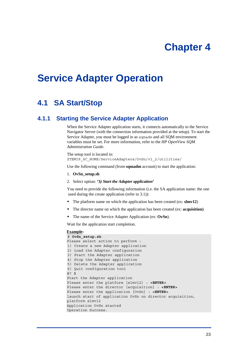# **Chapter 4**

# <span id="page-28-0"></span>**Service Adapter Operation**

## **4.1 SA Start/Stop**

## **4.1.1 Starting the Service Adapter Application**

<span id="page-28-1"></span>When the Service Adapter application starts, it connects automatically to the Service Navigator Server (with the connection information provided at the setup). To start the Service Adapter, you must be logged in as sqmadm and all SQM environment variables must be set. For more information, refer to the *HP OpenView SQM Administration Guide*.

The setup tool is located in: \$TEMIP\_SC\_HOME/ServiceAdapters/OvSn/v1\_2/utilities/

Use the following command (from **sqmadm** account) to start the application:

- 1. **OvSn\_setup.sh**
- 2. Select option: **'3***) Start the Adapter application***'**

You need to provide the following information (i.e. the SA application name: the one used during the create application (refer to [3.1\)](#page-19-3)):

- The platform name on which the application has been created (ex: **slmv12**)
- The director name on which the application has been created (ex: **acquisition)**
- The name of the Service Adapter Application (ex: **OvSn**).

Wait for the application start completion.

#### **Example:**

```
# OvSn_setup.sh
Please select action to perform : 
1) Create a new Adapter application 
2) Load the Adapter configuration 
3) Start the Adapter application 
4) Stop the Adapter application 
5) Delete the Adapter application 
6) Quit configuration tool 
#? 3
Start the Adapter application 
Please enter the platform [slmv12] : <ENTER> 
Please enter the director [acquisition] : <ENTER>
Please enter the application [OvSn] : <ENTER>
launch start of application OvSn on director acquisition, 
platform slmv12 
Application OvSn started 
Operation Success.
```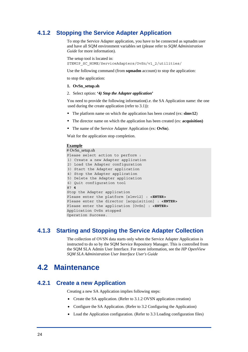## <span id="page-29-0"></span>**4.1.2 Stopping the Service Adapter Application**

<span id="page-29-1"></span>To stop the Service Adapter application, you have to be connected as sqmadm user and have all SQM environment variables set (please refer to *SQM Administration Guide* for more information).

```
The setup tool is located in: 
$TEMIP_SC_HOME/ServiceAdapters/OvSn/v1_2/utilities/
```
Use the following command (from **sqmadm** account) to stop the application:

to stop the application:

- **1. OvSn\_setup.sh**
- 2. Select option: **'4***) Stop the Adapter application***'**

You need to provide the following information(i.e. the SA Application name: the one used during the create application (refer to [3.1\)](#page-19-3)):

- The platform name on which the application has been created (ex: **slmv12**)
- The director name on which the application has been created (ex: **acquisition)**
- The name of the Service Adapter Application (ex: **OvSn**).

Wait for the application stop completion.

#### **Example**

```
# OvSn_setup.sh 
Please select action to perform : 
1) Create a new Adapter application 
2) Load the Adapter configuration 
3) Start the Adapter application 
4) Stop the Adapter application 
5) Delete the Adapter application 
6) Quit configuration tool 
#? 4
Stop the Adapter application 
Please enter the platform [slmv12] : <ENTER>
Please enter the director [acquisition] : <ENTER>
Please enter the application [OvSn] : <ENTER>
Application OvSn stopped 
Operation Success.
```
## **4.1.3 Starting and Stopping the Service Adapter Collection**

The collection of OVSN data starts only when the Service Adapter Application is instructed to do so by the SQM Service Repository Manager. This is controlled from the SQM SLA Admin User Interface. For more information, see the *HP OpenView SQM SLA Administration User Interface User's Guide*

## **4.2 Maintenance**

## **4.2.1 Create a new Application**

Creating a new SA Application implies following steps:

- Create the SA application. (Refer to [3.1.2 O](#page-20-1)VSN [application](#page-20-1) creation)
- Configure the SA Application. (Refer to [3.2 Configuring the Application\)](#page-21-1)
- Load the Application configuration. (Refer to [3.3 Loading configuration files\)](#page-25-1)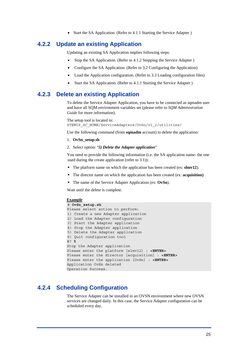• Start the SA Application. (Refer to 4.1.1 Starting the Service Adapter)

## <span id="page-30-0"></span>**4.2.2 Update an existing Application**

Updating an existing SA Application implies following steps:

- Stop the SA Application. (Refer to 4.1.2 Stopping the Service Adapter)
- Configure the SA Application. (Refer to [3.2 Configuring the Application\)](#page-21-1)
- Load the Application configuration. (Refer to [3.3 Loading configuration files\)](#page-25-1)
- Start the SA Application. (Refer to 4.1.1 Starting the Service Adapter)

## **4.2.3 Delete an existing Application**

To delete the Service Adapter Application, you have to be connected as sqmadm user and have all SQM environment variables set (please refer to *SQM Administration Guide* for more information).

The setup tool is located in: \$TEMIP\_SC\_HOME/ServiceAdapters/OvSn/v1\_2/utilities/

Use the following command (from **sqmadm** account) to delete the application:

- 1. **OvSn\_setup.sh**
- 2. Select option: **'***5) Delete the Adapter application'*

You need to provide the following information (i.e. the SA application name: the one used during the create application (refer to [3.1\)](#page-19-3)):

- The platform name on which the application has been created (ex: **slmv12**).
- The director name on which the application has been created (ex: **acquisition)**
- The name of the Service Adapter Application (ex: **OvSn**).

Wait until the delete is complete.

#### **Example**

```
# OvSn_setup.sh
Please select action to perform: 
1) Create a new Adapter application 
2) Load the Adapter configuration 
3) Start the Adapter application 
4) Stop the Adapter application 
5) Delete the Adapter application 
6) Quit configuration tool 
#? 5
Stop the Adapter application 
Please enter the platform [slmv12] : <ENTER>
Please enter the director [acquisition] : <ENTER>
Please enter the application [OvSn] : <ENTER>
Application OvSn deleted 
Operation Success.
```
## **4.2.4 Scheduling Configuration**

The Service Adapter can be installed in an OVSN environment where new OVSN services are changed daily. In this case, the Service Adapter configuration can be scheduled every day.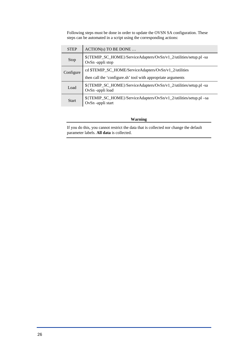Following steps must be done in order to update the OVSN SA configuration. These steps can be automated in a script using the corresponding actions:

| <b>STEP</b> | $ACTION(s) TO BE DONE$                                                                 |  |
|-------------|----------------------------------------------------------------------------------------|--|
| Stop        | \${TEMIP_SC_HOME}/ServiceAdapters/OvSn/v1_2/utilities/setup.pl -sa<br>OvSn-appli stop  |  |
| Configure   | cd \$TEMIP_SC_HOME/ServiceAdapters/OvSn/v1_2/utilities                                 |  |
|             | then call the 'configure.sh' tool with appropriate arguments                           |  |
| Load        | \${TEMIP SC HOME}/ServiceAdapters/OvSn/v1 2/utilities/setup.pl -sa<br>OvSn-appli load  |  |
| Start       | \${TEMIP_SC_HOME}/ServiceAdapters/OvSn/v1_2/utilities/setup.pl –sa<br>OvSn-appli start |  |

#### **Warning**

If you do this, you cannot restrict the data that is collected nor change the default parameter labels. **All data** is collected.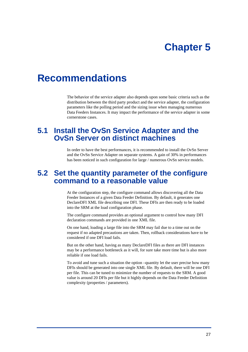# **Chapter 5**

# <span id="page-32-0"></span>**Recommendations**

The behavior of the service adapter also depends upon some basic criteria such as the distribution between the third party product and the service adapter, the configuration parameters like the polling period and the sizing issue when managing numerous Data Feeders Instances. It may impact the performance of the service adapter in some cornerstone cases.

## **5.1 Install the OvSn Service Adapter and the OvSn Server on distinct machines**

In order to have the best performances, it is recommended to install the OvSn Server and the OvSn Service Adapter on separate systems. A gain of 30% in performances has been noticed in such configuration for large / numerous OvSn service models.

## <span id="page-32-1"></span>**5.2 Set the quantity parameter of the configure command to a reasonable value**

At the configuration step, the configure command allows discovering all the Data Feeder Instances of a given Data Feeder Definition. By default, it generates one DeclareDFI XML file describing one DFI. These DFIs are then ready to be loaded into the SRM at the load configuration phase.

The configure command provides an optional argument to control how many DFI declaration commands are provided in one XML file.

On one hand, loading a large file into the SRM may fail due to a time out on the request if no adapted precautions are taken. Then, rollback considerations have to be considered if one DFI load fails.

But on the other hand, having as many DeclareDFI files as there are DFI instances may be a performance bottleneck as it will, for sure take more time but is also more reliable if one load fails.

To avoid and tune such a situation the option –quantity let the user precise how many DFIs should be generated into one single XML file. By default, there will be one DFI per file. This can be tuned to minimize the number of requests to the SRM. A good value is around 20 DFIs per file but it highly depends on the Data Feeder Definition complexity (properties / parameters).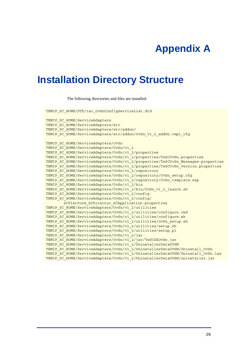# **Appendix A**

# <span id="page-34-0"></span>**Installation Directory Structure**

The following directories and files are installed:

TEMIP SC HOME/DTD/tsc OvSnConfigServiceList.dtd

TEMIP SC HOME/ServiceAdapters TEMIP SC HOME/ServiceAdapters/etc TEMIP SC HOME/ServiceAdapters/etc/addon/ TEMIP\_SC\_HOME/ServiceAdapters/etc/addon/OvSn\_v1\_2\_addOn.tmpl\_cfg TEMIP\_SC\_HOME/ServiceAdapters/OvSn TEMIP SC HOME/ServiceAdapters/OvSn/v1\_2 TEMIP SC HOME/ServiceAdapters/OvSn/v1\_2/properties TEMIP\_SC\_HOME/ServiceAdapters/OvSn/v1\_2/properties/TeSCOvSn.properties TEMIP\_SC\_HOME/ServiceAdapters/OvSn/v1\_2/properties/TeSCOvSn\_Messages.properties TEMIP\_SC\_HOME/ServiceAdapters/OvSn/v1\_2/properties/TeSCOvSn\_Version.properties TEMIP\_SC\_HOME/ServiceAdapters/OvSn/v1\_2/repository TEMIP\_SC\_HOME/ServiceAdapters/OvSn/v1\_2/repository/OvSn\_setup.cfg TEMIP\_SC\_HOME/ServiceAdapters/OvSn/v1\_2/repository/OvSn\_template.exp TEMIP SC HOME/ServiceAdapters/OvSn/v1\_2/bin TEMIP\_SC\_HOME/ServiceAdapters/OvSn/v1\_2/bin/OvSn\_v1\_2\_launch.sh TEMIP SC HOME/ServiceAdapters/OvSn/v1\_2/config TEMIP SC HOME/ServiceAdapters/OvSn/v1\_2/config/ SCPlatform\_SCDirector\_SCApplication.properties TEMIP SC HOME/ServiceAdapters/OvSn/v1\_2/utilities TEMIP\_SC\_HOME/ServiceAdapters/OvSn/v1\_2/utilities/configure.cmd TEMIP SC HOME/ServiceAdapters/OvSn/v1 2/utilities/configure.sh TEMIP\_SC\_HOME/ServiceAdapters/OvSn/v1\_2/utilities/OvSn\_setup.sh TEMIP\_SC\_HOME/ServiceAdapters/OvSn/v1\_2/utilities/setup.sh TEMIP\_SC\_HOME/ServiceAdapters/OvSn/v1\_2/utilities/setup.pl TEMIP\_SC\_HOME/ServiceAdapters/OvSn/v1\_2/jar TEMIP\_SC\_HOME/ServiceAdapters/OvSn/v1\_2/jar/TeSCSAOvSn.jar TEMIP\_SC\_HOME/ServiceAdapters/OvSn/v1\_2/UninstallerDataOVSN TEMIP\_SC\_HOME/ServiceAdapters/OvSn/v1\_2/UninstallerDataOVSN/Uninstall\_OvSn TEMIP\_SC\_HOME/ServiceAdapters/OvSn/v1\_2/UninstallerDataOVSN/Uninstall\_OvSn.lax TEMIP\_SC\_HOME/ServiceAdapters/OvSn/v1\_2/UninstallerDataOVSN/uninstaller.jar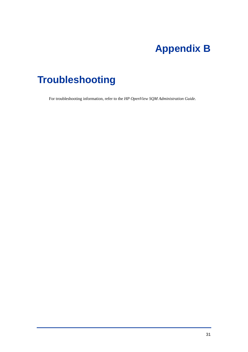# **Appendix B**

# <span id="page-36-0"></span>**Troubleshooting**

For troubleshooting information, refer to the *HP OpenView SQM Administration Guide*.